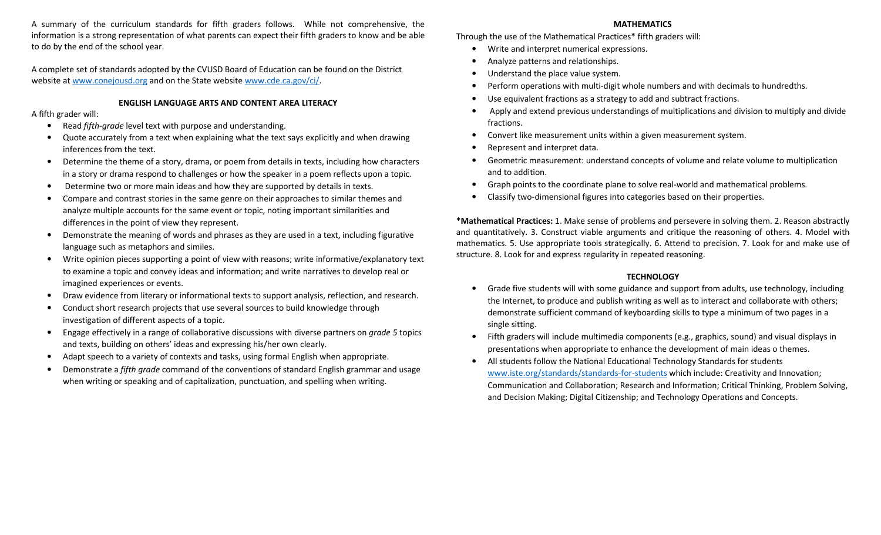A summary of the curriculum standards for fifth graders follows. While not comprehensive, the information is a strong representation of what parents can expect their fifth graders to know and be able to do by the end of the school year.

A complete set of standards adopted by the CVUSD Board of Education can be found on the District website at www.conejousd.org and on the State website www.cde.ca.gov/ci/.

# ENGLISH LANGUAGE ARTS AND CONTENT AREA LITERACY

## A fifth grader will:

- $\bullet$ Read fifth-grade level text with purpose and understanding.
- • Quote accurately from a text when explaining what the text says explicitly and when drawing inferences from the text.
- • Determine the theme of a story, drama, or poem from details in texts, including how characters in a story or drama respond to challenges or how the speaker in a poem reflects upon a topic.
- Determine two or more main ideas and how they are supported by details in texts.
- • Compare and contrast stories in the same genre on their approaches to similar themes and analyze multiple accounts for the same event or topic, noting important similarities and differences in the point of view they represent.
- • Demonstrate the meaning of words and phrases as they are used in a text, including figurative language such as metaphors and similes.
- • Write opinion pieces supporting a point of view with reasons; write informative/explanatory text to examine a topic and convey ideas and information; and write narratives to develop real or imagined experiences or events.
- •Draw evidence from literary or informational texts to support analysis, reflection, and research.
- • Conduct short research projects that use several sources to build knowledge through investigation of different aspects of a topic.
- $\bullet$ Engage effectively in a range of collaborative discussions with diverse partners on *grade 5* topics and texts, building on others' ideas and expressing his/her own clearly.
- •Adapt speech to a variety of contexts and tasks, using formal English when appropriate.
- •Demonstrate a *fifth grade* command of the conventions of standard English grammar and usage when writing or speaking and of capitalization, punctuation, and spelling when writing.

## MATHEMATICS

Through the use of the Mathematical Practices\* fifth graders will:

- Write and interpret numerical expressions.
- •Analyze patterns and relationships.
- •Understand the place value system.
- •Perform operations with multi-digit whole numbers and with decimals to hundredths.
- •Use equivalent fractions as a strategy to add and subtract fractions.
- Apply and extend previous understandings of multiplications and division to multiply and divide fractions.
- •Convert like measurement units within a given measurement system.
- •Represent and interpret data.
- Geometric measurement: understand concepts of volume and relate volume to multiplication and to addition.
- •Graph points to the coordinate plane to solve real-world and mathematical problems.
- •Classify two-dimensional figures into categories based on their properties.

\*Mathematical Practices: 1. Make sense of problems and persevere in solving them. 2. Reason abstractly and quantitatively. 3. Construct viable arguments and critique the reasoning of others. 4. Model with mathematics. 5. Use appropriate tools strategically. 6. Attend to precision. 7. Look for and make use of structure. 8. Look for and express regularity in repeated reasoning.

# **TECHNOLOGY**

- • Grade five students will with some guidance and support from adults, use technology, including the Internet, to produce and publish writing as well as to interact and collaborate with others; demonstrate sufficient command of keyboarding skills to type a minimum of two pages in a single sitting.
- Fifth graders will include multimedia components (e.g., graphics, sound) and visual displays in presentations when appropriate to enhance the development of main ideas o themes.
- • All students follow the National Educational Technology Standards for students www.iste.org/standards/standards-for-students which include: Creativity and Innovation; Communication and Collaboration; Research and Information; Critical Thinking, Problem Solving, and Decision Making; Digital Citizenship; and Technology Operations and Concepts.